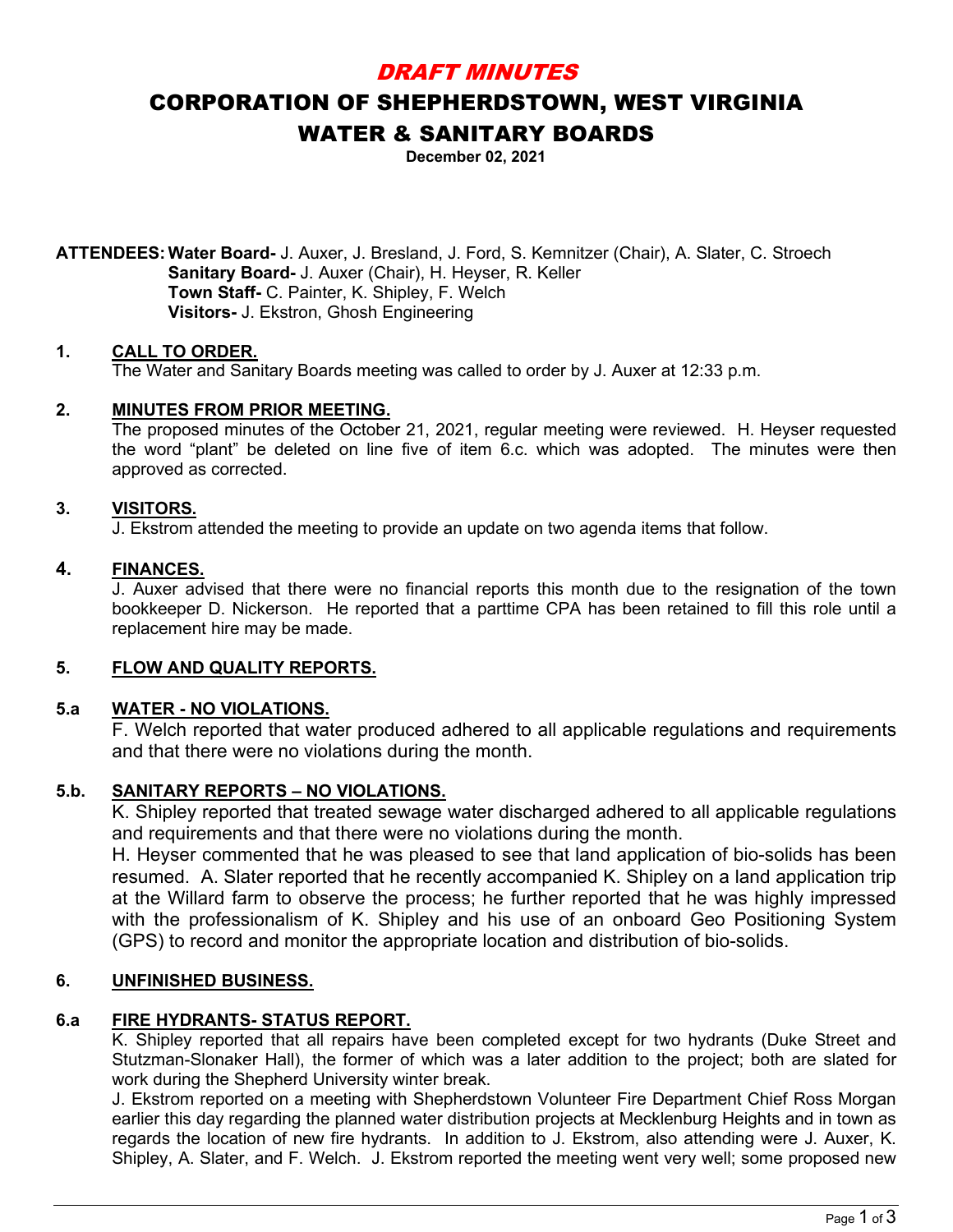# DRAFT MINUTES

# CORPORATION OF SHEPHERDSTOWN, WEST VIRGINIA WATER & SANITARY BOARDS

**December 02, 2021**

**ATTENDEES:Water Board-** J. Auxer, J. Bresland, J. Ford, S. Kemnitzer (Chair), A. Slater, C. Stroech **Sanitary Board-** J. Auxer (Chair), H. Heyser, R. Keller **Town Staff-** C. Painter, K. Shipley, F. Welch **Visitors-** J. Ekstron, Ghosh Engineering

# **1. CALL TO ORDER.**

The Water and Sanitary Boards meeting was called to order by J. Auxer at 12:33 p.m.

# **2. MINUTES FROM PRIOR MEETING.**

The proposed minutes of the October 21, 2021, regular meeting were reviewed. H. Heyser requested the word "plant" be deleted on line five of item 6.c. which was adopted. The minutes were then approved as corrected.

# **3. VISITORS.**

J. Ekstrom attended the meeting to provide an update on two agenda items that follow.

### **4. FINANCES.**

J. Auxer advised that there were no financial reports this month due to the resignation of the town bookkeeper D. Nickerson. He reported that a parttime CPA has been retained to fill this role until a replacement hire may be made.

### **5. FLOW AND QUALITY REPORTS.**

# **5.a WATER - NO VIOLATIONS.**

F. Welch reported that water produced adhered to all applicable regulations and requirements and that there were no violations during the month.

# **5.b. SANITARY REPORTS – NO VIOLATIONS.**

K. Shipley reported that treated sewage water discharged adhered to all applicable regulations and requirements and that there were no violations during the month.

H. Heyser commented that he was pleased to see that land application of bio-solids has been resumed. A. Slater reported that he recently accompanied K. Shipley on a land application trip at the Willard farm to observe the process; he further reported that he was highly impressed with the professionalism of K. Shipley and his use of an onboard Geo Positioning System (GPS) to record and monitor the appropriate location and distribution of bio-solids.

### **6. UNFINISHED BUSINESS.**

# **6.a FIRE HYDRANTS- STATUS REPORT.**

K. Shipley reported that all repairs have been completed except for two hydrants (Duke Street and Stutzman-Slonaker Hall), the former of which was a later addition to the project; both are slated for work during the Shepherd University winter break.

J. Ekstrom reported on a meeting with Shepherdstown Volunteer Fire Department Chief Ross Morgan earlier this day regarding the planned water distribution projects at Mecklenburg Heights and in town as regards the location of new fire hydrants. In addition to J. Ekstrom, also attending were J. Auxer, K. Shipley, A. Slater, and F. Welch. J. Ekstrom reported the meeting went very well; some proposed new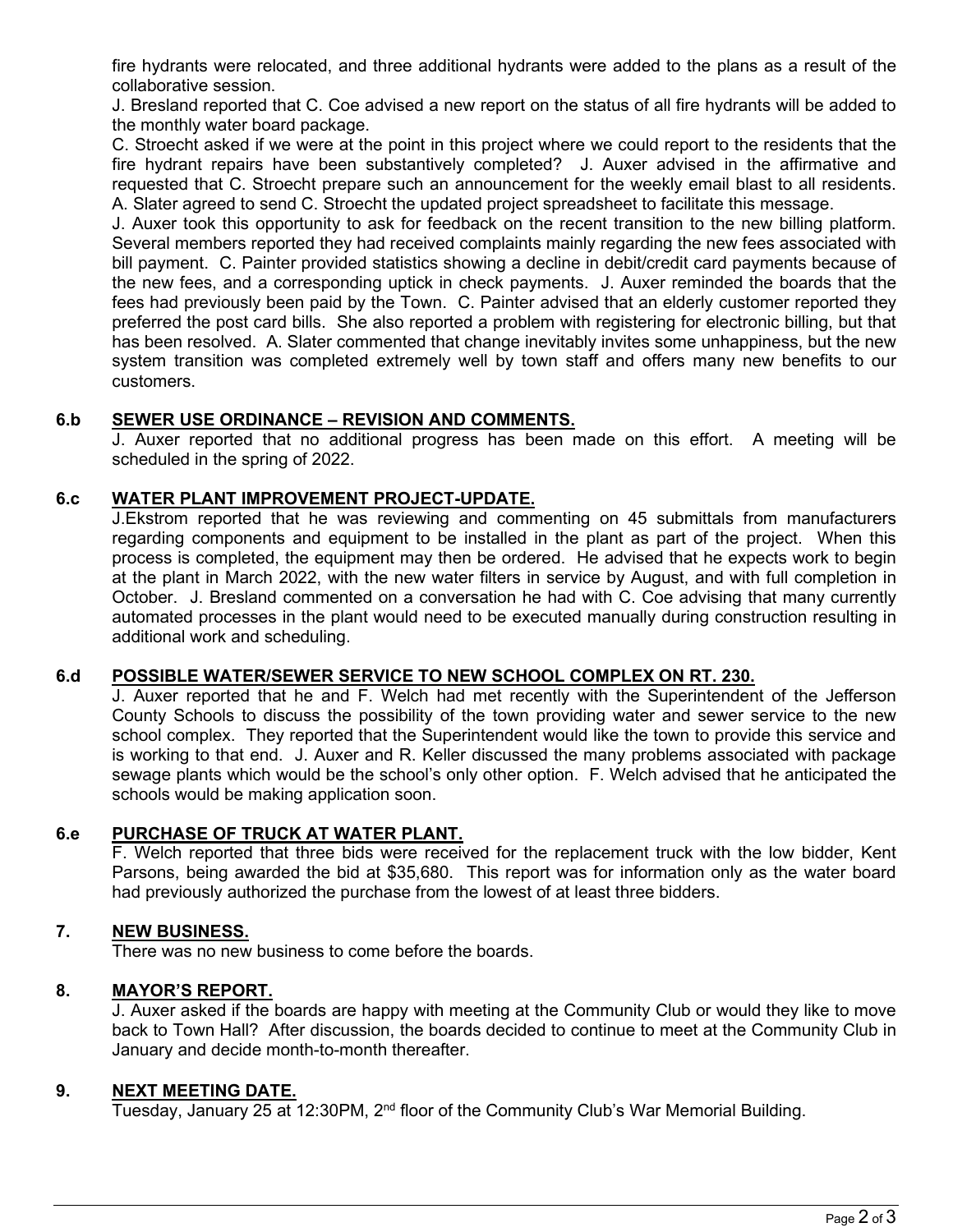fire hydrants were relocated, and three additional hydrants were added to the plans as a result of the collaborative session.

J. Bresland reported that C. Coe advised a new report on the status of all fire hydrants will be added to the monthly water board package.

C. Stroecht asked if we were at the point in this project where we could report to the residents that the fire hydrant repairs have been substantively completed? J. Auxer advised in the affirmative and requested that C. Stroecht prepare such an announcement for the weekly email blast to all residents. A. Slater agreed to send C. Stroecht the updated project spreadsheet to facilitate this message.

J. Auxer took this opportunity to ask for feedback on the recent transition to the new billing platform. Several members reported they had received complaints mainly regarding the new fees associated with bill payment. C. Painter provided statistics showing a decline in debit/credit card payments because of the new fees, and a corresponding uptick in check payments. J. Auxer reminded the boards that the fees had previously been paid by the Town. C. Painter advised that an elderly customer reported they preferred the post card bills. She also reported a problem with registering for electronic billing, but that has been resolved. A. Slater commented that change inevitably invites some unhappiness, but the new system transition was completed extremely well by town staff and offers many new benefits to our customers.

# **6.b SEWER USE ORDINANCE – REVISION AND COMMENTS.**

J. Auxer reported that no additional progress has been made on this effort. A meeting will be scheduled in the spring of 2022.

# **6.c WATER PLANT IMPROVEMENT PROJECT-UPDATE.**

J.Ekstrom reported that he was reviewing and commenting on 45 submittals from manufacturers regarding components and equipment to be installed in the plant as part of the project. When this process is completed, the equipment may then be ordered. He advised that he expects work to begin at the plant in March 2022, with the new water filters in service by August, and with full completion in October. J. Bresland commented on a conversation he had with C. Coe advising that many currently automated processes in the plant would need to be executed manually during construction resulting in additional work and scheduling.

## **6.d POSSIBLE WATER/SEWER SERVICE TO NEW SCHOOL COMPLEX ON RT. 230.**

J. Auxer reported that he and F. Welch had met recently with the Superintendent of the Jefferson County Schools to discuss the possibility of the town providing water and sewer service to the new school complex. They reported that the Superintendent would like the town to provide this service and is working to that end. J. Auxer and R. Keller discussed the many problems associated with package sewage plants which would be the school's only other option. F. Welch advised that he anticipated the schools would be making application soon.

### **6.e PURCHASE OF TRUCK AT WATER PLANT.**

F. Welch reported that three bids were received for the replacement truck with the low bidder, Kent Parsons, being awarded the bid at \$35,680. This report was for information only as the water board had previously authorized the purchase from the lowest of at least three bidders.

# **7. NEW BUSINESS.**

There was no new business to come before the boards.

### **8. MAYOR'S REPORT.**

J. Auxer asked if the boards are happy with meeting at the Community Club or would they like to move back to Town Hall? After discussion, the boards decided to continue to meet at the Community Club in January and decide month-to-month thereafter.

### **9. NEXT MEETING DATE.**

Tuesday, January 25 at 12:30PM, 2<sup>nd</sup> floor of the Community Club's War Memorial Building.